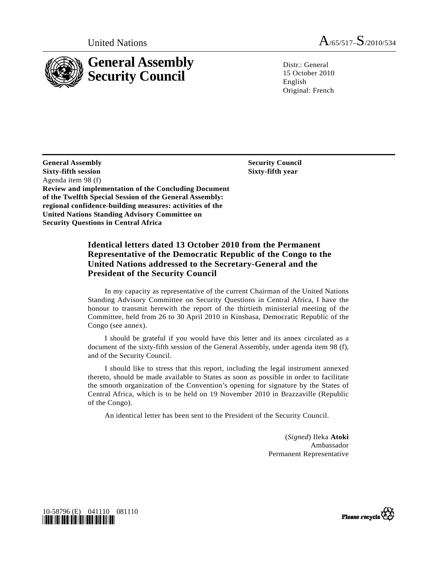

United Nations  $A_{/65/517} - S_{/2010/534}$ 

 $Distr: General$ 15 October 2010 English Original: French

 **Security Council Sixty-fifth year** 

**General Assembly Sixty-fifth session**  Agenda item 98 (f) **Review and implementation of the Concluding Document of the Twelfth Special Session of the General Assembly: regional confidence-building measures: activities of the United Nations Standing Advisory Committee on Security Questions in Central Africa** 

# **Identical letters dated 13 October 2010 from the Permanent Representative of the Democratic Republic of the Congo to the United Nations addressed to the Secretary-General and the President of the Security Council**

 In my capacity as representative of the current Chairman of the United Nations Standing Advisory Committee on Security Questions in Central Africa, I have the honour to transmit herewith the report of the thirtieth ministerial meeting of the Committee, held from 26 to 30 April 2010 in Kinshasa, Democratic Republic of the Congo (see annex).

I should be grateful if you would have this letter and its annex circulated as a document of the sixty-fifth session of the General Assembly, under agenda item 98 (f), and of the Security Council.

 I should like to stress that this report, including the legal instrument annexed thereto, should be made available to States as soon as possible in order to facilitate the smooth organization of the Convention's opening for signature by the States of Central Africa, which is to be held on 19 November 2010 in Brazzaville (Republic of the Congo).

An identical letter has been sent to the President of the Security Council.

(*Signed*) Ileka **Atoki** Ambassador Permanent Representative



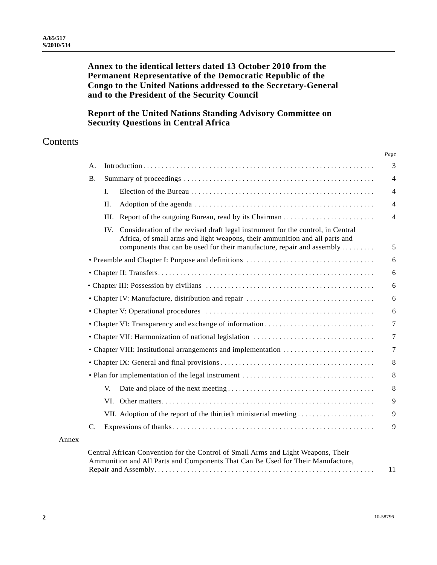# **Annex to the identical letters dated 13 October 2010 from the Permanent Representative of the Democratic Republic of the Congo to the United Nations addressed to the Secretary-General and to the President of the Security Council**

# **Report of the United Nations Standing Advisory Committee on Security Questions in Central Africa**

# **Contents**

| <b>B.</b>       |                |                                                                                                                                                                                                                                          |
|-----------------|----------------|------------------------------------------------------------------------------------------------------------------------------------------------------------------------------------------------------------------------------------------|
|                 | $\mathbf{I}$ . |                                                                                                                                                                                                                                          |
|                 | II.            |                                                                                                                                                                                                                                          |
|                 | III.           |                                                                                                                                                                                                                                          |
|                 | IV.            | Consideration of the revised draft legal instrument for the control, in Central<br>Africa, of small arms and light weapons, their ammunition and all parts and<br>components that can be used for their manufacture, repair and assembly |
|                 |                |                                                                                                                                                                                                                                          |
|                 |                |                                                                                                                                                                                                                                          |
|                 |                |                                                                                                                                                                                                                                          |
|                 |                |                                                                                                                                                                                                                                          |
|                 |                |                                                                                                                                                                                                                                          |
|                 |                |                                                                                                                                                                                                                                          |
|                 |                |                                                                                                                                                                                                                                          |
|                 |                |                                                                                                                                                                                                                                          |
|                 |                |                                                                                                                                                                                                                                          |
|                 |                |                                                                                                                                                                                                                                          |
|                 | V.             |                                                                                                                                                                                                                                          |
|                 |                |                                                                                                                                                                                                                                          |
|                 |                |                                                                                                                                                                                                                                          |
| $\mathcal{C}$ . |                |                                                                                                                                                                                                                                          |

| Central African Convention for the Control of Small Arms and Light Weapons, Their |  |
|-----------------------------------------------------------------------------------|--|
| Ammunition and All Parts and Components That Can Be Used for Their Manufacture,   |  |
|                                                                                   |  |

Annex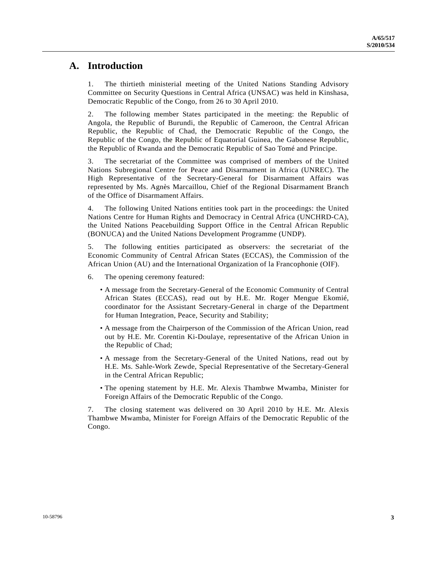# **A. Introduction**

1. The thirtieth ministerial meeting of the United Nations Standing Advisory Committee on Security Questions in Central Africa (UNSAC) was held in Kinshasa, Democratic Republic of the Congo, from 26 to 30 April 2010.

2. The following member States participated in the meeting: the Republic of Angola, the Republic of Burundi, the Republic of Cameroon, the Central African Republic, the Republic of Chad, the Democratic Republic of the Congo, the Republic of the Congo, the Republic of Equatorial Guinea, the Gabonese Republic, the Republic of Rwanda and the Democratic Republic of Sao Tomé and Principe.

3. The secretariat of the Committee was comprised of members of the United Nations Subregional Centre for Peace and Disarmament in Africa (UNREC). The High Representative of the Secretary-General for Disarmament Affairs was represented by Ms. Agnès Marcaillou, Chief of the Regional Disarmament Branch of the Office of Disarmament Affairs.

4. The following United Nations entities took part in the proceedings: the United Nations Centre for Human Rights and Democracy in Central Africa (UNCHRD-CA), the United Nations Peacebuilding Support Office in the Central African Republic (BONUCA) and the United Nations Development Programme (UNDP).

5. The following entities participated as observers: the secretariat of the Economic Community of Central African States (ECCAS), the Commission of the African Union (AU) and the International Organization of la Francophonie (OIF).

- 6. The opening ceremony featured:
	- A message from the Secretary-General of the Economic Community of Central African States (ECCAS), read out by H.E. Mr. Roger Mengue Ekomié, coordinator for the Assistant Secretary-General in charge of the Department for Human Integration, Peace, Security and Stability;
	- A message from the Chairperson of the Commission of the African Union, read out by H.E. Mr. Corentin Ki-Doulaye, representative of the African Union in the Republic of Chad;
	- A message from the Secretary-General of the United Nations, read out by H.E. Ms. Sahle-Work Zewde, Special Representative of the Secretary-General in the Central African Republic;
	- The opening statement by H.E. Mr. Alexis Thambwe Mwamba, Minister for Foreign Affairs of the Democratic Republic of the Congo.

7. The closing statement was delivered on 30 April 2010 by H.E. Mr. Alexis Thambwe Mwamba, Minister for Foreign Affairs of the Democratic Republic of the Congo.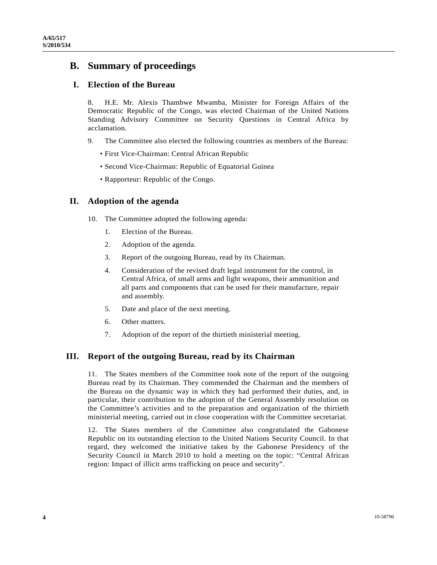# **B. Summary of proceedings**

# **I. Election of the Bureau**

8. H.E. Mr. Alexis Thambwe Mwamba, Minister for Foreign Affairs of the Democratic Republic of the Congo, was elected Chairman of the United Nations Standing Advisory Committee on Security Questions in Central Africa by acclamation.

- 9. The Committee also elected the following countries as members of the Bureau:
	- First Vice-Chairman: Central African Republic
	- Second Vice-Chairman: Republic of Equatorial Guinea
	- Rapporteur: Republic of the Congo.

# **II. Adoption of the agenda**

- 10. The Committee adopted the following agenda:
	- 1. Election of the Bureau.
	- 2. Adoption of the agenda.
	- 3. Report of the outgoing Bureau, read by its Chairman.
	- 4. Consideration of the revised draft legal instrument for the control, in Central Africa, of small arms and light weapons, their ammunition and all parts and components that can be used for their manufacture, repair and assembly.
	- 5. Date and place of the next meeting.
	- 6. Other matters.
	- 7. Adoption of the report of the thirtieth ministerial meeting.

# **III. Report of the outgoing Bureau, read by its Chairman**

11. The States members of the Committee took note of the report of the outgoing Bureau read by its Chairman. They commended the Chairman and the members of the Bureau on the dynamic way in which they had performed their duties, and, in particular, their contribution to the adoption of the General Assembly resolution on the Committee's activities and to the preparation and organization of the thirtieth ministerial meeting, carried out in close cooperation with the Committee secretariat.

12. The States members of the Committee also congratulated the Gabonese Republic on its outstanding election to the United Nations Security Council. In that regard, they welcomed the initiative taken by the Gabonese Presidency of the Security Council in March 2010 to hold a meeting on the topic: "Central African region: Impact of illicit arms trafficking on peace and security".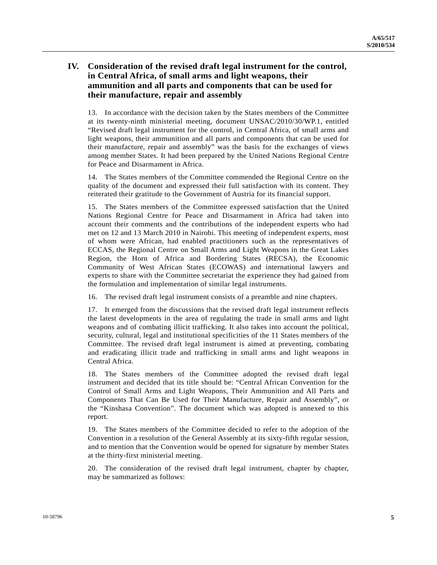# **IV. Consideration of the revised draft legal instrument for the control, in Central Africa, of small arms and light weapons, their ammunition and all parts and components that can be used for their manufacture, repair and assembly**

13. In accordance with the decision taken by the States members of the Committee at its twenty-ninth ministerial meeting, document UNSAC/2010/30/WP.1, entitled "Revised draft legal instrument for the control, in Central Africa, of small arms and light weapons, their ammunition and all parts and components that can be used for their manufacture, repair and assembly" was the basis for the exchanges of views among member States. It had been prepared by the United Nations Regional Centre for Peace and Disarmament in Africa.

14. The States members of the Committee commended the Regional Centre on the quality of the document and expressed their full satisfaction with its content. They reiterated their gratitude to the Government of Austria for its financial support.

15. The States members of the Committee expressed satisfaction that the United Nations Regional Centre for Peace and Disarmament in Africa had taken into account their comments and the contributions of the independent experts who had met on 12 and 13 March 2010 in Nairobi. This meeting of independent experts, most of whom were African, had enabled practitioners such as the representatives of ECCAS, the Regional Centre on Small Arms and Light Weapons in the Great Lakes Region, the Horn of Africa and Bordering States (RECSA), the Economic Community of West African States (ECOWAS) and international lawyers and experts to share with the Committee secretariat the experience they had gained from the formulation and implementation of similar legal instruments.

16. The revised draft legal instrument consists of a preamble and nine chapters.

17. It emerged from the discussions that the revised draft legal instrument reflects the latest developments in the area of regulating the trade in small arms and light weapons and of combating illicit trafficking. It also takes into account the political, security, cultural, legal and institutional specificities of the 11 States members of the Committee. The revised draft legal instrument is aimed at preventing, combating and eradicating illicit trade and trafficking in small arms and light weapons in Central Africa.

18. The States members of the Committee adopted the revised draft legal instrument and decided that its title should be: "Central African Convention for the Control of Small Arms and Light Weapons, Their Ammunition and All Parts and Components That Can Be Used for Their Manufacture, Repair and Assembly", or the "Kinshasa Convention". The document which was adopted is annexed to this report.

19. The States members of the Committee decided to refer to the adoption of the Convention in a resolution of the General Assembly at its sixty-fifth regular session, and to mention that the Convention would be opened for signature by member States at the thirty-first ministerial meeting.

20. The consideration of the revised draft legal instrument, chapter by chapter, may be summarized as follows: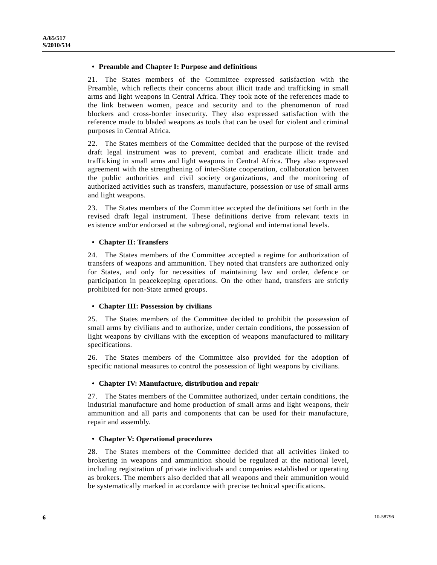## **• Preamble and Chapter I: Purpose and definitions**

21. The States members of the Committee expressed satisfaction with the Preamble, which reflects their concerns about illicit trade and trafficking in small arms and light weapons in Central Africa. They took note of the references made to the link between women, peace and security and to the phenomenon of road blockers and cross-border insecurity. They also expressed satisfaction with the reference made to bladed weapons as tools that can be used for violent and criminal purposes in Central Africa.

22. The States members of the Committee decided that the purpose of the revised draft legal instrument was to prevent, combat and eradicate illicit trade and trafficking in small arms and light weapons in Central Africa. They also expressed agreement with the strengthening of inter-State cooperation, collaboration between the public authorities and civil society organizations, and the monitoring of authorized activities such as transfers, manufacture, possession or use of small arms and light weapons.

23. The States members of the Committee accepted the definitions set forth in the revised draft legal instrument. These definitions derive from relevant texts in existence and/or endorsed at the subregional, regional and international levels.

## **• Chapter II: Transfers**

24. The States members of the Committee accepted a regime for authorization of transfers of weapons and ammunition. They noted that transfers are authorized only for States, and only for necessities of maintaining law and order, defence or participation in peacekeeping operations. On the other hand, transfers are strictly prohibited for non-State armed groups.

## **• Chapter III: Possession by civilians**

25. The States members of the Committee decided to prohibit the possession of small arms by civilians and to authorize, under certain conditions, the possession of light weapons by civilians with the exception of weapons manufactured to military specifications.

26. The States members of the Committee also provided for the adoption of specific national measures to control the possession of light weapons by civilians.

## **• Chapter IV: Manufacture, distribution and repair**

27. The States members of the Committee authorized, under certain conditions, the industrial manufacture and home production of small arms and light weapons, their ammunition and all parts and components that can be used for their manufacture, repair and assembly.

## **• Chapter V: Operational procedures**

28. The States members of the Committee decided that all activities linked to brokering in weapons and ammunition should be regulated at the national level, including registration of private individuals and companies established or operating as brokers. The members also decided that all weapons and their ammunition would be systematically marked in accordance with precise technical specifications.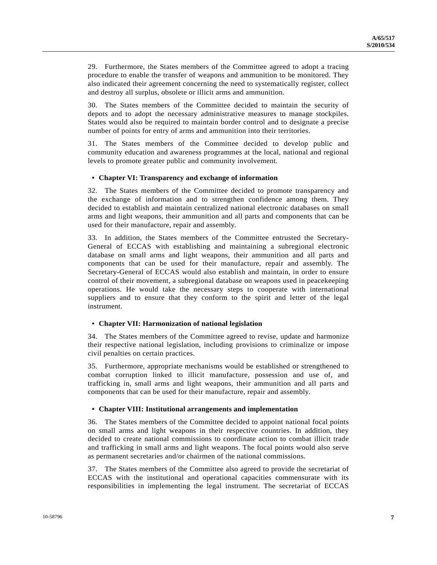29. Furthermore, the States members of the Committee agreed to adopt a tracing procedure to enable the transfer of weapons and ammunition to be monitored. They also indicated their agreement concerning the need to systematically register, collect and destroy all surplus, obsolete or illicit arms and ammunition.

30. The States members of the Committee decided to maintain the security of depots and to adopt the necessary administrative measures to manage stockpiles. States would also be required to maintain border control and to designate a precise number of points for entry of arms and ammunition into their territories.

31. The States members of the Committee decided to develop public and community education and awareness programmes at the local, national and regional levels to promote greater public and community involvement.

## **• Chapter VI: Transparency and exchange of information**

32. The States members of the Committee decided to promote transparency and the exchange of information and to strengthen confidence among them. They decided to establish and maintain centralized national electronic databases on small arms and light weapons, their ammunition and all parts and components that can be used for their manufacture, repair and assembly.

33. In addition, the States members of the Committee entrusted the Secretary-General of ECCAS with establishing and maintaining a subregional electronic database on small arms and light weapons, their ammunition and all parts and components that can be used for their manufacture, repair and assembly. The Secretary-General of ECCAS would also establish and maintain, in order to ensure control of their movement, a subregional database on weapons used in peacekeeping operations. He would take the necessary steps to cooperate with international suppliers and to ensure that they conform to the spirit and letter of the legal instrument.

## **• Chapter VII: Harmonization of national legislation**

34. The States members of the Committee agreed to revise, update and harmonize their respective national legislation, including provisions to criminalize or impose civil penalties on certain practices.

35. Furthermore, appropriate mechanisms would be established or strengthened to combat corruption linked to illicit manufacture, possession and use of, and trafficking in, small arms and light weapons, their ammunition and all parts and components that can be used for their manufacture, repair and assembly.

## **• Chapter VIII: Institutional arrangements and implementation**

36. The States members of the Committee decided to appoint national focal points on small arms and light weapons in their respective countries. In addition, they decided to create national commissions to coordinate action to combat illicit trade and trafficking in small arms and light weapons. The focal points would also serve as permanent secretaries and/or chairmen of the national commissions.

37. The States members of the Committee also agreed to provide the secretariat of ECCAS with the institutional and operational capacities commensurate with its responsibilities in implementing the legal instrument. The secretariat of ECCAS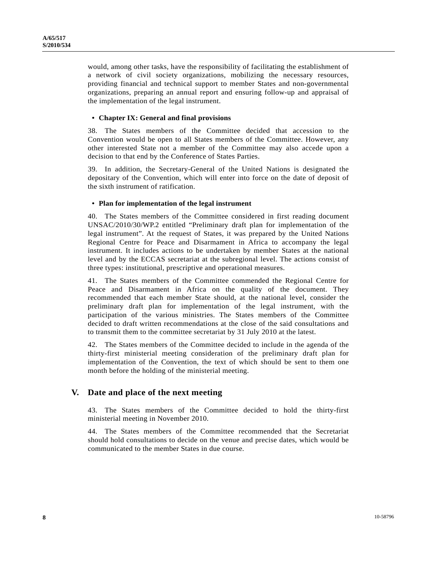would, among other tasks, have the responsibility of facilitating the establishment of a network of civil society organizations, mobilizing the necessary resources, providing financial and technical support to member States and non-governmental organizations, preparing an annual report and ensuring follow-up and appraisal of the implementation of the legal instrument.

## **• Chapter IX: General and final provisions**

38. The States members of the Committee decided that accession to the Convention would be open to all States members of the Committee. However, any other interested State not a member of the Committee may also accede upon a decision to that end by the Conference of States Parties.

39. In addition, the Secretary-General of the United Nations is designated the depositary of the Convention, which will enter into force on the date of deposit of the sixth instrument of ratification.

## **• Plan for implementation of the legal instrument**

40. The States members of the Committee considered in first reading document UNSAC/2010/30/WP.2 entitled "Preliminary draft plan for implementation of the legal instrument". At the request of States, it was prepared by the United Nations Regional Centre for Peace and Disarmament in Africa to accompany the legal instrument. It includes actions to be undertaken by member States at the national level and by the ECCAS secretariat at the subregional level. The actions consist of three types: institutional, prescriptive and operational measures.

41. The States members of the Committee commended the Regional Centre for Peace and Disarmament in Africa on the quality of the document. They recommended that each member State should, at the national level, consider the preliminary draft plan for implementation of the legal instrument, with the participation of the various ministries. The States members of the Committee decided to draft written recommendations at the close of the said consultations and to transmit them to the committee secretariat by 31 July 2010 at the latest.

42. The States members of the Committee decided to include in the agenda of the thirty-first ministerial meeting consideration of the preliminary draft plan for implementation of the Convention, the text of which should be sent to them one month before the holding of the ministerial meeting.

# **V. Date and place of the next meeting**

43. The States members of the Committee decided to hold the thirty-first ministerial meeting in November 2010.

44. The States members of the Committee recommended that the Secretariat should hold consultations to decide on the venue and precise dates, which would be communicated to the member States in due course.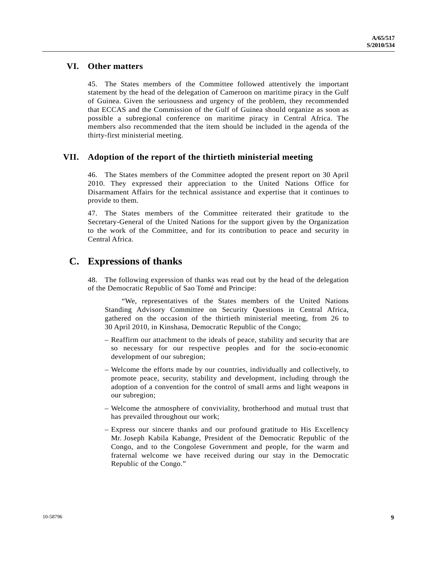# **VI. Other matters**

45. The States members of the Committee followed attentively the important statement by the head of the delegation of Cameroon on maritime piracy in the Gulf of Guinea. Given the seriousness and urgency of the problem, they recommended that ECCAS and the Commission of the Gulf of Guinea should organize as soon as possible a subregional conference on maritime piracy in Central Africa. The members also recommended that the item should be included in the agenda of the thirty-first ministerial meeting.

# **VII. Adoption of the report of the thirtieth ministerial meeting**

46. The States members of the Committee adopted the present report on 30 April 2010. They expressed their appreciation to the United Nations Office for Disarmament Affairs for the technical assistance and expertise that it continues to provide to them.

47. The States members of the Committee reiterated their gratitude to the Secretary-General of the United Nations for the support given by the Organization to the work of the Committee, and for its contribution to peace and security in Central Africa.

# **C. Expressions of thanks**

48. The following expression of thanks was read out by the head of the delegation of the Democratic Republic of Sao Tomé and Principe:

 "We, representatives of the States members of the United Nations Standing Advisory Committee on Security Questions in Central Africa, gathered on the occasion of the thirtieth ministerial meeting, from 26 to 30 April 2010, in Kinshasa, Democratic Republic of the Congo;

- Reaffirm our attachment to the ideals of peace, stability and security that are so necessary for our respective peoples and for the socio-economic development of our subregion;
- Welcome the efforts made by our countries, individually and collectively, to promote peace, security, stability and development, including through the adoption of a convention for the control of small arms and light weapons in our subregion;
- Welcome the atmosphere of conviviality, brotherhood and mutual trust that has prevailed throughout our work;
- Express our sincere thanks and our profound gratitude to His Excellency Mr. Joseph Kabila Kabange, President of the Democratic Republic of the Congo, and to the Congolese Government and people, for the warm and fraternal welcome we have received during our stay in the Democratic Republic of the Congo."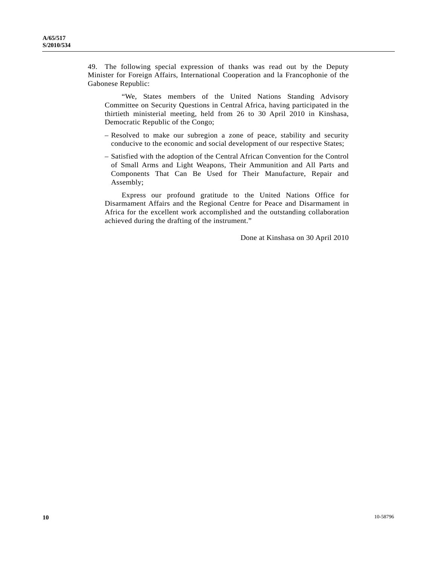49. The following special expression of thanks was read out by the Deputy Minister for Foreign Affairs, International Cooperation and la Francophonie of the Gabonese Republic:

 "We, States members of the United Nations Standing Advisory Committee on Security Questions in Central Africa, having participated in the thirtieth ministerial meeting, held from 26 to 30 April 2010 in Kinshasa, Democratic Republic of the Congo;

- Resolved to make our subregion a zone of peace, stability and security conducive to the economic and social development of our respective States;
- Satisfied with the adoption of the Central African Convention for the Control of Small Arms and Light Weapons, Their Ammunition and All Parts and Components That Can Be Used for Their Manufacture, Repair and Assembly;

 Express our profound gratitude to the United Nations Office for Disarmament Affairs and the Regional Centre for Peace and Disarmament in Africa for the excellent work accomplished and the outstanding collaboration achieved during the drafting of the instrument."

Done at Kinshasa on 30 April 2010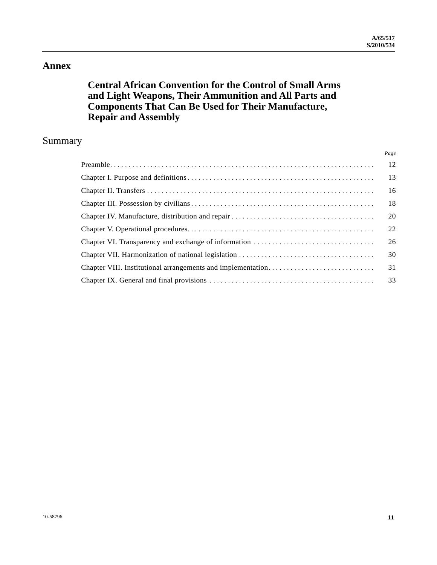*Page*

# **Annex**

# **Central African Convention for the Control of Small Arms and Light Weapons, Their Ammunition and All Parts and Components That Can Be Used for Their Manufacture, Repair and Assembly**

# Summary

| -12 |
|-----|
| -13 |
| 16  |
| 18  |
| 20  |
| 22  |
| 26  |
| 30  |
| 31  |
| 33  |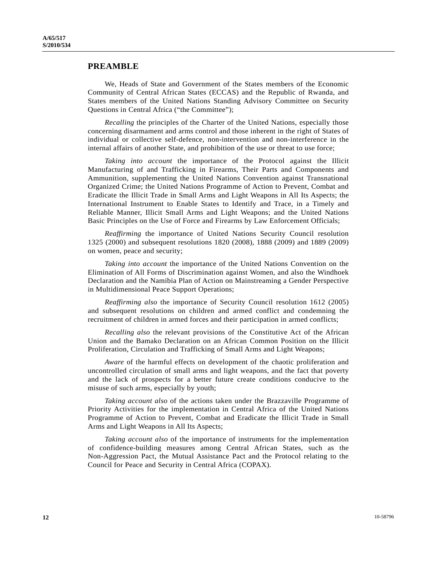## **PREAMBLE**

 We, Heads of State and Government of the States members of the Economic Community of Central African States (ECCAS) and the Republic of Rwanda, and States members of the United Nations Standing Advisory Committee on Security Questions in Central Africa ("the Committee");

*Recalling* the principles of the Charter of the United Nations, especially those concerning disarmament and arms control and those inherent in the right of States of individual or collective self-defence, non-intervention and non-interference in the internal affairs of another State, and prohibition of the use or threat to use force;

*Taking into account* the importance of the Protocol against the Illicit Manufacturing of and Trafficking in Firearms, Their Parts and Components and Ammunition, supplementing the United Nations Convention against Transnational Organized Crime; the United Nations Programme of Action to Prevent, Combat and Eradicate the Illicit Trade in Small Arms and Light Weapons in All Its Aspects; the International Instrument to Enable States to Identify and Trace, in a Timely and Reliable Manner, Illicit Small Arms and Light Weapons; and the United Nations Basic Principles on the Use of Force and Firearms by Law Enforcement Officials;

*Reaffirming* the importance of United Nations Security Council resolution 1325 (2000) and subsequent resolutions 1820 (2008), 1888 (2009) and 1889 (2009) on women, peace and security;

*Taking into account* the importance of the United Nations Convention on the Elimination of All Forms of Discrimination against Women, and also the Windhoek Declaration and the Namibia Plan of Action on Mainstreaming a Gender Perspective in Multidimensional Peace Support Operations;

*Reaffirming also* the importance of Security Council resolution 1612 (2005) and subsequent resolutions on children and armed conflict and condemning the recruitment of children in armed forces and their participation in armed conflicts;

*Recalling also* the relevant provisions of the Constitutive Act of the African Union and the Bamako Declaration on an African Common Position on the Illicit Proliferation, Circulation and Trafficking of Small Arms and Light Weapons;

*Aware* of the harmful effects on development of the chaotic proliferation and uncontrolled circulation of small arms and light weapons, and the fact that poverty and the lack of prospects for a better future create conditions conducive to the misuse of such arms, especially by youth;

*Taking account also* of the actions taken under the Brazzaville Programme of Priority Activities for the implementation in Central Africa of the United Nations Programme of Action to Prevent, Combat and Eradicate the Illicit Trade in Small Arms and Light Weapons in All Its Aspects;

*Taking account also* of the importance of instruments for the implementation of confidence-building measures among Central African States, such as the Non-Aggression Pact, the Mutual Assistance Pact and the Protocol relating to the Council for Peace and Security in Central Africa (COPAX).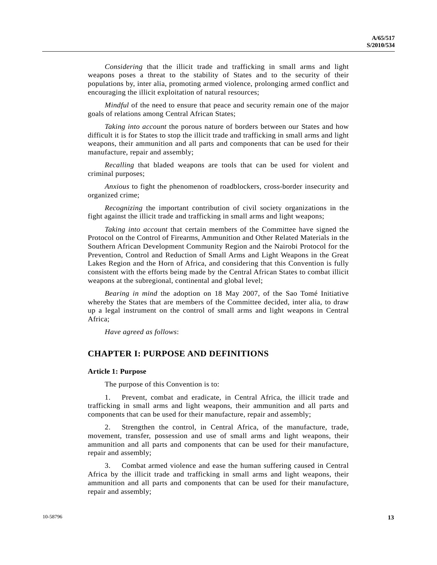*Considering* that the illicit trade and trafficking in small arms and light weapons poses a threat to the stability of States and to the security of their populations by, inter alia, promoting armed violence, prolonging armed conflict and encouraging the illicit exploitation of natural resources;

*Mindful* of the need to ensure that peace and security remain one of the major goals of relations among Central African States;

*Taking into account* the porous nature of borders between our States and how difficult it is for States to stop the illicit trade and trafficking in small arms and light weapons, their ammunition and all parts and components that can be used for their manufacture, repair and assembly;

*Recalling* that bladed weapons are tools that can be used for violent and criminal purposes;

*Anxious* to fight the phenomenon of roadblockers, cross-border insecurity and organized crime;

*Recognizing* the important contribution of civil society organizations in the fight against the illicit trade and trafficking in small arms and light weapons;

*Taking into account* that certain members of the Committee have signed the Protocol on the Control of Firearms, Ammunition and Other Related Materials in the Southern African Development Community Region and the Nairobi Protocol for the Prevention, Control and Reduction of Small Arms and Light Weapons in the Great Lakes Region and the Horn of Africa, and considering that this Convention is fully consistent with the efforts being made by the Central African States to combat illicit weapons at the subregional, continental and global level;

*Bearing in mind* the adoption on 18 May 2007, of the Sao Tomé Initiative whereby the States that are members of the Committee decided, inter alia, to draw up a legal instrument on the control of small arms and light weapons in Central Africa;

*Have agreed as follows*:

## **CHAPTER I: PURPOSE AND DEFINITIONS**

#### **Article 1: Purpose**

The purpose of this Convention is to:

Prevent, combat and eradicate, in Central Africa, the illicit trade and trafficking in small arms and light weapons, their ammunition and all parts and components that can be used for their manufacture, repair and assembly;

 2. Strengthen the control, in Central Africa, of the manufacture, trade, movement, transfer, possession and use of small arms and light weapons, their ammunition and all parts and components that can be used for their manufacture, repair and assembly;

 3. Combat armed violence and ease the human suffering caused in Central Africa by the illicit trade and trafficking in small arms and light weapons, their ammunition and all parts and components that can be used for their manufacture, repair and assembly;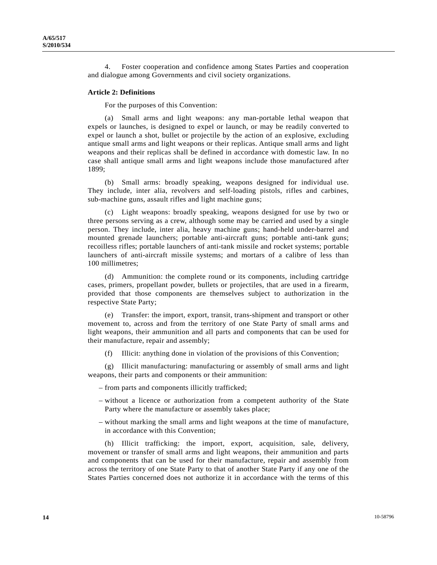4. Foster cooperation and confidence among States Parties and cooperation and dialogue among Governments and civil society organizations.

#### **Article 2: Definitions**

For the purposes of this Convention:

 (a) Small arms and light weapons: any man-portable lethal weapon that expels or launches, is designed to expel or launch, or may be readily converted to expel or launch a shot, bullet or projectile by the action of an explosive, excluding antique small arms and light weapons or their replicas. Antique small arms and light weapons and their replicas shall be defined in accordance with domestic law. In no case shall antique small arms and light weapons include those manufactured after 1899;

 (b) Small arms: broadly speaking, weapons designed for individual use. They include, inter alia, revolvers and self-loading pistols, rifles and carbines, sub-machine guns, assault rifles and light machine guns;

 (c) Light weapons: broadly speaking, weapons designed for use by two or three persons serving as a crew, although some may be carried and used by a single person. They include, inter alia, heavy machine guns; hand-held under-barrel and mounted grenade launchers; portable anti-aircraft guns; portable anti-tank guns; recoilless rifles; portable launchers of anti-tank missile and rocket systems; portable launchers of anti-aircraft missile systems; and mortars of a calibre of less than 100 millimetres;

 (d) Ammunition: the complete round or its components, including cartridge cases, primers, propellant powder, bullets or projectiles, that are used in a firearm, provided that those components are themselves subject to authorization in the respective State Party;

 (e) Transfer: the import, export, transit, trans-shipment and transport or other movement to, across and from the territory of one State Party of small arms and light weapons, their ammunition and all parts and components that can be used for their manufacture, repair and assembly;

Illicit: anything done in violation of the provisions of this Convention;

 (g) Illicit manufacturing: manufacturing or assembly of small arms and light weapons, their parts and components or their ammunition:

– from parts and components illicitly trafficked;

- without a licence or authorization from a competent authority of the State Party where the manufacture or assembly takes place;
- without marking the small arms and light weapons at the time of manufacture, in accordance with this Convention;

 (h) Illicit trafficking: the import, export, acquisition, sale, delivery, movement or transfer of small arms and light weapons, their ammunition and parts and components that can be used for their manufacture, repair and assembly from across the territory of one State Party to that of another State Party if any one of the States Parties concerned does not authorize it in accordance with the terms of this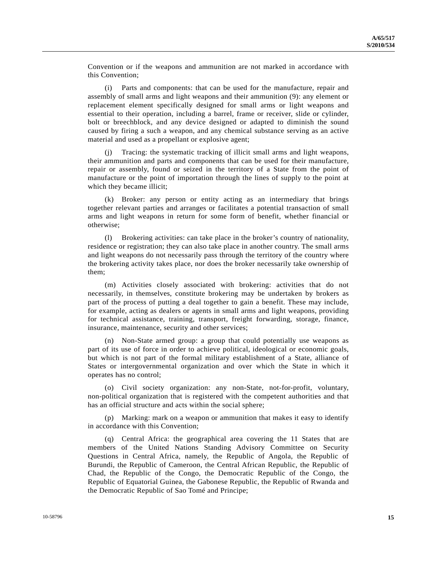Convention or if the weapons and ammunition are not marked in accordance with this Convention;

 (i) Parts and components: that can be used for the manufacture, repair and assembly of small arms and light weapons and their ammunition (9): any element or replacement element specifically designed for small arms or light weapons and essential to their operation, including a barrel, frame or receiver, slide or cylinder, bolt or breechblock, and any device designed or adapted to diminish the sound caused by firing a such a weapon, and any chemical substance serving as an active material and used as a propellant or explosive agent;

 (j) Tracing: the systematic tracking of illicit small arms and light weapons, their ammunition and parts and components that can be used for their manufacture, repair or assembly, found or seized in the territory of a State from the point of manufacture or the point of importation through the lines of supply to the point at which they became illicit;

 (k) Broker: any person or entity acting as an intermediary that brings together relevant parties and arranges or facilitates a potential transaction of small arms and light weapons in return for some form of benefit, whether financial or otherwise;

 (l) Brokering activities: can take place in the broker's country of nationality, residence or registration; they can also take place in another country. The small arms and light weapons do not necessarily pass through the territory of the country where the brokering activity takes place, nor does the broker necessarily take ownership of them;

 (m) Activities closely associated with brokering: activities that do not necessarily, in themselves, constitute brokering may be undertaken by brokers as part of the process of putting a deal together to gain a benefit. These may include, for example, acting as dealers or agents in small arms and light weapons, providing for technical assistance, training, transport, freight forwarding, storage, finance, insurance, maintenance, security and other services;

 (n) Non-State armed group: a group that could potentially use weapons as part of its use of force in order to achieve political, ideological or economic goals, but which is not part of the formal military establishment of a State, alliance of States or intergovernmental organization and over which the State in which it operates has no control;

 (o) Civil society organization: any non-State, not-for-profit, voluntary, non-political organization that is registered with the competent authorities and that has an official structure and acts within the social sphere;

 (p) Marking: mark on a weapon or ammunition that makes it easy to identify in accordance with this Convention;

 (q) Central Africa: the geographical area covering the 11 States that are members of the United Nations Standing Advisory Committee on Security Questions in Central Africa, namely, the Republic of Angola, the Republic of Burundi, the Republic of Cameroon, the Central African Republic, the Republic of Chad, the Republic of the Congo, the Democratic Republic of the Congo, the Republic of Equatorial Guinea, the Gabonese Republic, the Republic of Rwanda and the Democratic Republic of Sao Tomé and Principe;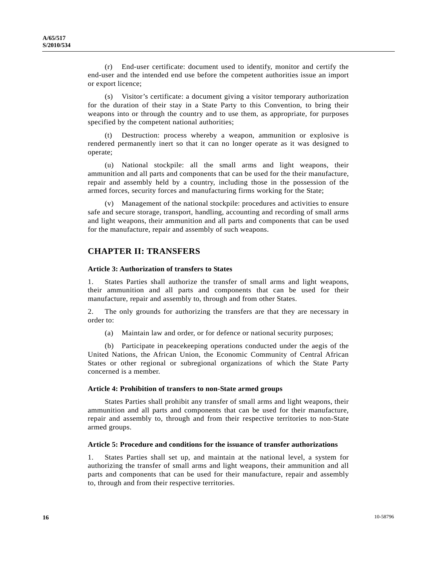(r) End-user certificate: document used to identify, monitor and certify the end-user and the intended end use before the competent authorities issue an import or export licence;

 (s) Visitor's certificate: a document giving a visitor temporary authorization for the duration of their stay in a State Party to this Convention, to bring their weapons into or through the country and to use them, as appropriate, for purposes specified by the competent national authorities;

Destruction: process whereby a weapon, ammunition or explosive is rendered permanently inert so that it can no longer operate as it was designed to operate;

 (u) National stockpile: all the small arms and light weapons, their ammunition and all parts and components that can be used for the their manufacture, repair and assembly held by a country, including those in the possession of the armed forces, security forces and manufacturing firms working for the State;

 (v) Management of the national stockpile: procedures and activities to ensure safe and secure storage, transport, handling, accounting and recording of small arms and light weapons, their ammunition and all parts and components that can be used for the manufacture, repair and assembly of such weapons.

## **CHAPTER II: TRANSFERS**

#### **Article 3: Authorization of transfers to States**

1. States Parties shall authorize the transfer of small arms and light weapons, their ammunition and all parts and components that can be used for their manufacture, repair and assembly to, through and from other States.

2. The only grounds for authorizing the transfers are that they are necessary in order to:

(a) Maintain law and order, or for defence or national security purposes;

 (b) Participate in peacekeeping operations conducted under the aegis of the United Nations, the African Union, the Economic Community of Central African States or other regional or subregional organizations of which the State Party concerned is a member.

#### **Article 4: Prohibition of transfers to non-State armed groups**

 States Parties shall prohibit any transfer of small arms and light weapons, their ammunition and all parts and components that can be used for their manufacture, repair and assembly to, through and from their respective territories to non-State armed groups.

#### **Article 5: Procedure and conditions for the issuance of transfer authorizations**

1. States Parties shall set up, and maintain at the national level, a system for authorizing the transfer of small arms and light weapons, their ammunition and all parts and components that can be used for their manufacture, repair and assembly to, through and from their respective territories.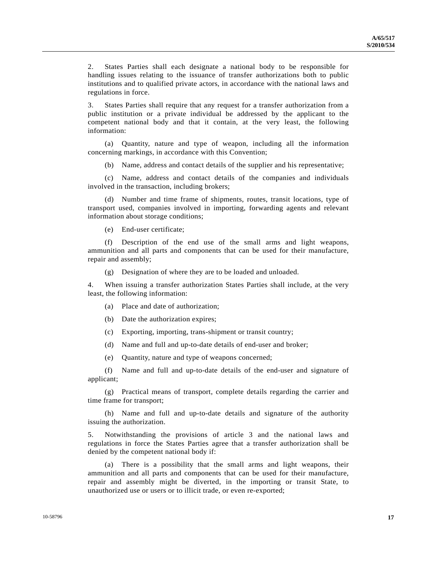2. States Parties shall each designate a national body to be responsible for handling issues relating to the issuance of transfer authorizations both to public institutions and to qualified private actors, in accordance with the national laws and regulations in force.

3. States Parties shall require that any request for a transfer authorization from a public institution or a private individual be addressed by the applicant to the competent national body and that it contain, at the very least, the following information:

 (a) Quantity, nature and type of weapon, including all the information concerning markings, in accordance with this Convention;

(b) Name, address and contact details of the supplier and his representative;

 (c) Name, address and contact details of the companies and individuals involved in the transaction, including brokers;

 (d) Number and time frame of shipments, routes, transit locations, type of transport used, companies involved in importing, forwarding agents and relevant information about storage conditions;

(e) End-user certificate;

 (f) Description of the end use of the small arms and light weapons, ammunition and all parts and components that can be used for their manufacture, repair and assembly;

(g) Designation of where they are to be loaded and unloaded.

4. When issuing a transfer authorization States Parties shall include, at the very least, the following information:

(a) Place and date of authorization;

(b) Date the authorization expires;

(c) Exporting, importing, trans-shipment or transit country;

(d) Name and full and up-to-date details of end-user and broker;

(e) Quantity, nature and type of weapons concerned;

 (f) Name and full and up-to-date details of the end-user and signature of applicant;

 (g) Practical means of transport, complete details regarding the carrier and time frame for transport;

 (h) Name and full and up-to-date details and signature of the authority issuing the authorization.

5. Notwithstanding the provisions of article 3 and the national laws and regulations in force the States Parties agree that a transfer authorization shall be denied by the competent national body if:

 (a) There is a possibility that the small arms and light weapons, their ammunition and all parts and components that can be used for their manufacture, repair and assembly might be diverted, in the importing or transit State, to unauthorized use or users or to illicit trade, or even re-exported;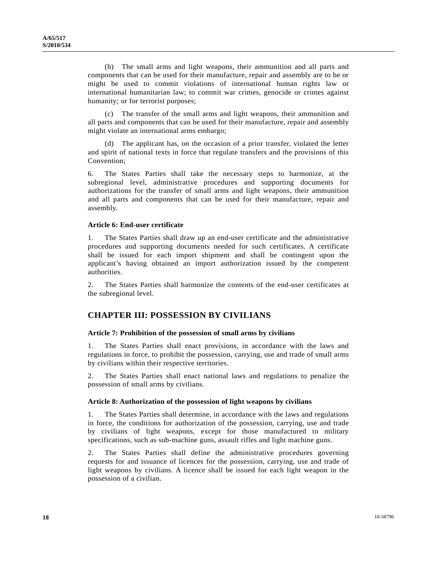(b) The small arms and light weapons, their ammunition and all parts and components that can be used for their manufacture, repair and assembly are to be or might be used to commit violations of international human rights law or international humanitarian law; to commit war crimes, genocide or crimes against humanity; or for terrorist purposes;

 (c) The transfer of the small arms and light weapons, their ammunition and all parts and components that can be used for their manufacture, repair and assembly might violate an international arms embargo;

 (d) The applicant has, on the occasion of a prior transfer, violated the letter and spirit of national texts in force that regulate transfers and the provisions of this Convention;

6. The States Parties shall take the necessary steps to harmonize, at the subregional level, administrative procedures and supporting documents for authorizations for the transfer of small arms and light weapons, their ammunition and all parts and components that can be used for their manufacture, repair and assembly.

## **Article 6: End-user certificate**

1. The States Parties shall draw up an end-user certificate and the administrative procedures and supporting documents needed for such certificates. A certificate shall be issued for each import shipment and shall be contingent upon the applicant's having obtained an import authorization issued by the competent authorities.

2. The States Parties shall harmonize the contents of the end-user certificates at the subregional level.

# **CHAPTER III: POSSESSION BY CIVILIANS**

## **Article 7: Prohibition of the possession of small arms by civilians**

1. The States Parties shall enact provisions, in accordance with the laws and regulations in force, to prohibit the possession, carrying, use and trade of small arms by civilians within their respective territories.

2. The States Parties shall enact national laws and regulations to penalize the possession of small arms by civilians.

#### **Article 8: Authorization of the possession of light weapons by civilians**

1. The States Parties shall determine, in accordance with the laws and regulations in force, the conditions for authorization of the possession, carrying, use and trade by civilians of light weapons, except for those manufactured to military specifications, such as sub-machine guns, assault rifles and light machine guns.

2. The States Parties shall define the administrative procedures governing requests for and issuance of licences for the possession, carrying, use and trade of light weapons by civilians. A licence shall be issued for each light weapon in the possession of a civilian.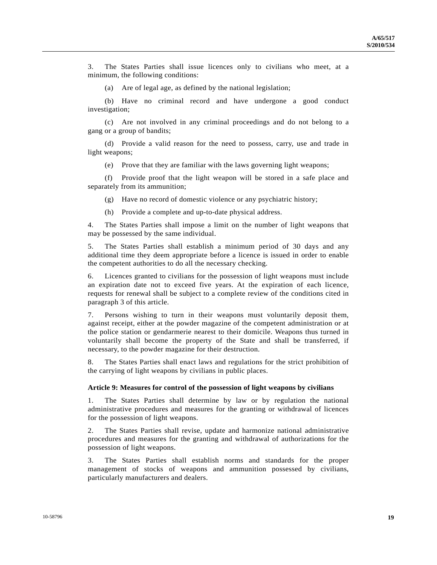3. The States Parties shall issue licences only to civilians who meet, at a minimum, the following conditions:

(a) Are of legal age, as defined by the national legislation;

 (b) Have no criminal record and have undergone a good conduct investigation;

 (c) Are not involved in any criminal proceedings and do not belong to a gang or a group of bandits;

 (d) Provide a valid reason for the need to possess, carry, use and trade in light weapons;

(e) Prove that they are familiar with the laws governing light weapons;

 (f) Provide proof that the light weapon will be stored in a safe place and separately from its ammunition;

(g) Have no record of domestic violence or any psychiatric history;

(h) Provide a complete and up-to-date physical address.

4. The States Parties shall impose a limit on the number of light weapons that may be possessed by the same individual.

5. The States Parties shall establish a minimum period of 30 days and any additional time they deem appropriate before a licence is issued in order to enable the competent authorities to do all the necessary checking.

6. Licences granted to civilians for the possession of light weapons must include an expiration date not to exceed five years. At the expiration of each licence, requests for renewal shall be subject to a complete review of the conditions cited in paragraph 3 of this article.

7. Persons wishing to turn in their weapons must voluntarily deposit them, against receipt, either at the powder magazine of the competent administration or at the police station or gendarmerie nearest to their domicile. Weapons thus turned in voluntarily shall become the property of the State and shall be transferred, if necessary, to the powder magazine for their destruction.

8. The States Parties shall enact laws and regulations for the strict prohibition of the carrying of light weapons by civilians in public places.

#### **Article 9: Measures for control of the possession of light weapons by civilians**

1. The States Parties shall determine by law or by regulation the national administrative procedures and measures for the granting or withdrawal of licences for the possession of light weapons.

2. The States Parties shall revise, update and harmonize national administrative procedures and measures for the granting and withdrawal of authorizations for the possession of light weapons.

3. The States Parties shall establish norms and standards for the proper management of stocks of weapons and ammunition possessed by civilians, particularly manufacturers and dealers.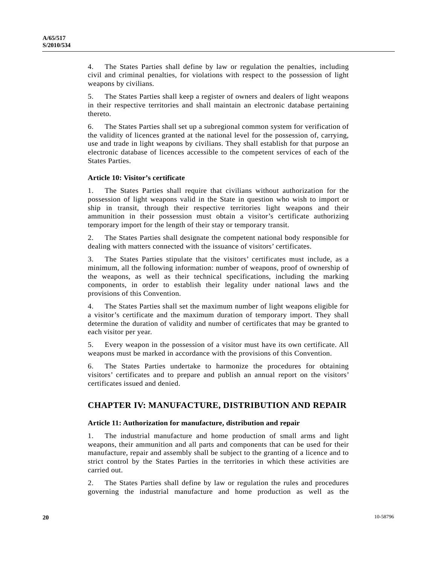4. The States Parties shall define by law or regulation the penalties, including civil and criminal penalties, for violations with respect to the possession of light weapons by civilians.

5. The States Parties shall keep a register of owners and dealers of light weapons in their respective territories and shall maintain an electronic database pertaining thereto.

6. The States Parties shall set up a subregional common system for verification of the validity of licences granted at the national level for the possession of, carrying, use and trade in light weapons by civilians. They shall establish for that purpose an electronic database of licences accessible to the competent services of each of the States Parties.

## **Article 10: Visitor's certificate**

1. The States Parties shall require that civilians without authorization for the possession of light weapons valid in the State in question who wish to import or ship in transit, through their respective territories light weapons and their ammunition in their possession must obtain a visitor's certificate authorizing temporary import for the length of their stay or temporary transit.

2. The States Parties shall designate the competent national body responsible for dealing with matters connected with the issuance of visitors' certificates.

3. The States Parties stipulate that the visitors' certificates must include, as a minimum, all the following information: number of weapons, proof of ownership of the weapons, as well as their technical specifications, including the marking components, in order to establish their legality under national laws and the provisions of this Convention.

4. The States Parties shall set the maximum number of light weapons eligible for a visitor's certificate and the maximum duration of temporary import. They shall determine the duration of validity and number of certificates that may be granted to each visitor per year.

5. Every weapon in the possession of a visitor must have its own certificate. All weapons must be marked in accordance with the provisions of this Convention.

6. The States Parties undertake to harmonize the procedures for obtaining visitors' certificates and to prepare and publish an annual report on the visitors' certificates issued and denied.

# **CHAPTER IV: MANUFACTURE, DISTRIBUTION AND REPAIR**

## **Article 11: Authorization for manufacture, distribution and repair**

1. The industrial manufacture and home production of small arms and light weapons, their ammunition and all parts and components that can be used for their manufacture, repair and assembly shall be subject to the granting of a licence and to strict control by the States Parties in the territories in which these activities are carried out.

2. The States Parties shall define by law or regulation the rules and procedures governing the industrial manufacture and home production as well as the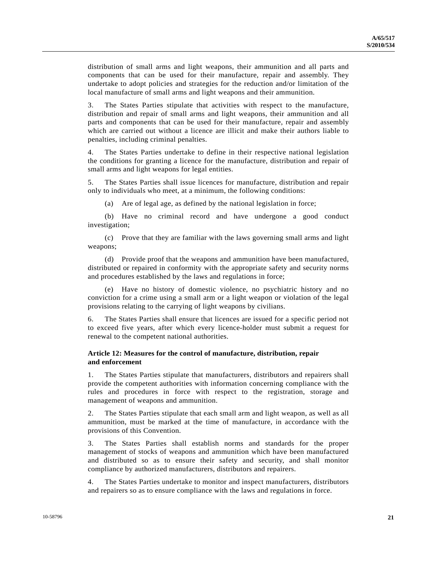distribution of small arms and light weapons, their ammunition and all parts and components that can be used for their manufacture, repair and assembly. They undertake to adopt policies and strategies for the reduction and/or limitation of the local manufacture of small arms and light weapons and their ammunition.

3. The States Parties stipulate that activities with respect to the manufacture, distribution and repair of small arms and light weapons, their ammunition and all parts and components that can be used for their manufacture, repair and assembly which are carried out without a licence are illicit and make their authors liable to penalties, including criminal penalties.

4. The States Parties undertake to define in their respective national legislation the conditions for granting a licence for the manufacture, distribution and repair of small arms and light weapons for legal entities.

5. The States Parties shall issue licences for manufacture, distribution and repair only to individuals who meet, at a minimum, the following conditions:

(a) Are of legal age, as defined by the national legislation in force;

 (b) Have no criminal record and have undergone a good conduct investigation;

 (c) Prove that they are familiar with the laws governing small arms and light weapons;

 (d) Provide proof that the weapons and ammunition have been manufactured, distributed or repaired in conformity with the appropriate safety and security norms and procedures established by the laws and regulations in force;

 (e) Have no history of domestic violence, no psychiatric history and no conviction for a crime using a small arm or a light weapon or violation of the legal provisions relating to the carrying of light weapons by civilians.

6. The States Parties shall ensure that licences are issued for a specific period not to exceed five years, after which every licence-holder must submit a request for renewal to the competent national authorities.

## **Article 12: Measures for the control of manufacture, distribution, repair and enforcement**

1. The States Parties stipulate that manufacturers, distributors and repairers shall provide the competent authorities with information concerning compliance with the rules and procedures in force with respect to the registration, storage and management of weapons and ammunition.

2. The States Parties stipulate that each small arm and light weapon, as well as all ammunition, must be marked at the time of manufacture, in accordance with the provisions of this Convention.

3. The States Parties shall establish norms and standards for the proper management of stocks of weapons and ammunition which have been manufactured and distributed so as to ensure their safety and security, and shall monitor compliance by authorized manufacturers, distributors and repairers.

4. The States Parties undertake to monitor and inspect manufacturers, distributors and repairers so as to ensure compliance with the laws and regulations in force.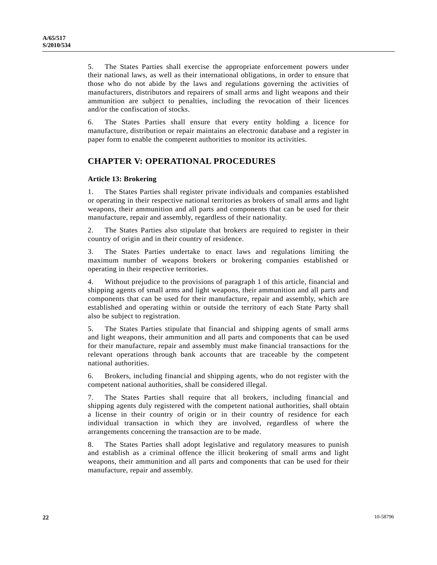5. The States Parties shall exercise the appropriate enforcement powers under their national laws, as well as their international obligations, in order to ensure that those who do not abide by the laws and regulations governing the activities of manufacturers, distributors and repairers of small arms and light weapons and their ammunition are subject to penalties, including the revocation of their licences and/or the confiscation of stocks.

6. The States Parties shall ensure that every entity holding a licence for manufacture, distribution or repair maintains an electronic database and a register in paper form to enable the competent authorities to monitor its activities.

# **CHAPTER V: OPERATIONAL PROCEDURES**

## **Article 13: Brokering**

1. The States Parties shall register private individuals and companies established or operating in their respective national territories as brokers of small arms and light weapons, their ammunition and all parts and components that can be used for their manufacture, repair and assembly, regardless of their nationality.

2. The States Parties also stipulate that brokers are required to register in their country of origin and in their country of residence.

3. The States Parties undertake to enact laws and regulations limiting the maximum number of weapons brokers or brokering companies established or operating in their respective territories.

4. Without prejudice to the provisions of paragraph 1 of this article, financial and shipping agents of small arms and light weapons, their ammunition and all parts and components that can be used for their manufacture, repair and assembly, which are established and operating within or outside the territory of each State Party shall also be subject to registration.

5. The States Parties stipulate that financial and shipping agents of small arms and light weapons, their ammunition and all parts and components that can be used for their manufacture, repair and assembly must make financial transactions for the relevant operations through bank accounts that are traceable by the competent national authorities.

6. Brokers, including financial and shipping agents, who do not register with the competent national authorities, shall be considered illegal.

7. The States Parties shall require that all brokers, including financial and shipping agents duly registered with the competent national authorities, shall obtain a license in their country of origin or in their country of residence for each individual transaction in which they are involved, regardless of where the arrangements concerning the transaction are to be made.

8. The States Parties shall adopt legislative and regulatory measures to punish and establish as a criminal offence the illicit brokering of small arms and light weapons, their ammunition and all parts and components that can be used for their manufacture, repair and assembly.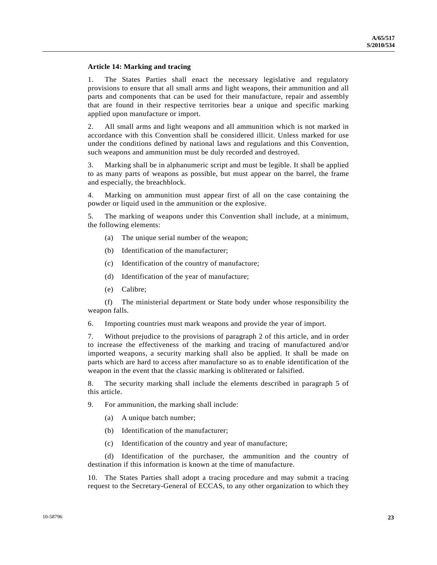## **Article 14: Marking and tracing**

1. The States Parties shall enact the necessary legislative and regulatory provisions to ensure that all small arms and light weapons, their ammunition and all parts and components that can be used for their manufacture, repair and assembly that are found in their respective territories bear a unique and specific marking applied upon manufacture or import.

2. All small arms and light weapons and all ammunition which is not marked in accordance with this Convention shall be considered illicit. Unless marked for use under the conditions defined by national laws and regulations and this Convention, such weapons and ammunition must be duly recorded and destroyed.

3. Marking shall be in alphanumeric script and must be legible. It shall be applied to as many parts of weapons as possible, but must appear on the barrel, the frame and especially, the breachblock.

4. Marking on ammunition must appear first of all on the case containing the powder or liquid used in the ammunition or the explosive.

5. The marking of weapons under this Convention shall include, at a minimum, the following elements:

- (a) The unique serial number of the weapon;
- (b) Identification of the manufacturer;
- (c) Identification of the country of manufacture;
- (d) Identification of the year of manufacture;
- (e) Calibre;

 (f) The ministerial department or State body under whose responsibility the weapon falls.

6. Importing countries must mark weapons and provide the year of import.

7. Without prejudice to the provisions of paragraph 2 of this article, and in order to increase the effectiveness of the marking and tracing of manufactured and/or imported weapons, a security marking shall also be applied. It shall be made on parts which are hard to access after manufacture so as to enable identification of the weapon in the event that the classic marking is obliterated or falsified.

8. The security marking shall include the elements described in paragraph 5 of this article.

9. For ammunition, the marking shall include:

- (a) A unique batch number;
- (b) Identification of the manufacturer;
- (c) Identification of the country and year of manufacture;

 (d) Identification of the purchaser, the ammunition and the country of destination if this information is known at the time of manufacture.

10. The States Parties shall adopt a tracing procedure and may submit a tracing request to the Secretary-General of ECCAS, to any other organization to which they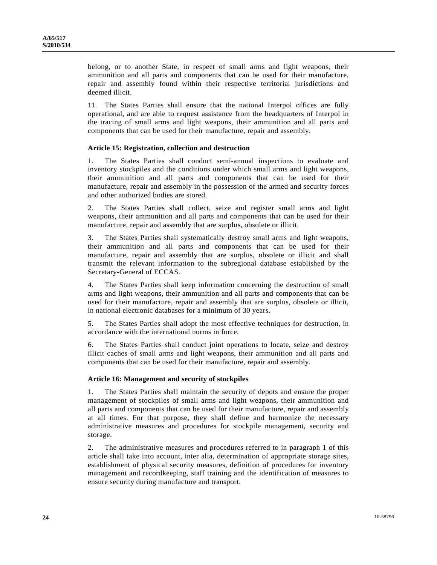belong, or to another State, in respect of small arms and light weapons, their ammunition and all parts and components that can be used for their manufacture, repair and assembly found within their respective territorial jurisdictions and deemed illicit.

11. The States Parties shall ensure that the national Interpol offices are fully operational, and are able to request assistance from the headquarters of Interpol in the tracing of small arms and light weapons, their ammunition and all parts and components that can be used for their manufacture, repair and assembly.

## **Article 15: Registration, collection and destruction**

1. The States Parties shall conduct semi-annual inspections to evaluate and inventory stockpiles and the conditions under which small arms and light weapons, their ammunition and all parts and components that can be used for their manufacture, repair and assembly in the possession of the armed and security forces and other authorized bodies are stored.

2. The States Parties shall collect, seize and register small arms and light weapons, their ammunition and all parts and components that can be used for their manufacture, repair and assembly that are surplus, obsolete or illicit.

3. The States Parties shall systematically destroy small arms and light weapons, their ammunition and all parts and components that can be used for their manufacture, repair and assembly that are surplus, obsolete or illicit and shall transmit the relevant information to the subregional database established by the Secretary-General of ECCAS.

4. The States Parties shall keep information concerning the destruction of small arms and light weapons, their ammunition and all parts and components that can be used for their manufacture, repair and assembly that are surplus, obsolete or illicit, in national electronic databases for a minimum of 30 years.

5. The States Parties shall adopt the most effective techniques for destruction, in accordance with the international norms in force.

6. The States Parties shall conduct joint operations to locate, seize and destroy illicit caches of small arms and light weapons, their ammunition and all parts and components that can be used for their manufacture, repair and assembly.

## **Article 16: Management and security of stockpiles**

1. The States Parties shall maintain the security of depots and ensure the proper management of stockpiles of small arms and light weapons, their ammunition and all parts and components that can be used for their manufacture, repair and assembly at all times. For that purpose, they shall define and harmonize the necessary administrative measures and procedures for stockpile management, security and storage.

2. The administrative measures and procedures referred to in paragraph 1 of this article shall take into account, inter alia, determination of appropriate storage sites, establishment of physical security measures, definition of procedures for inventory management and recordkeeping, staff training and the identification of measures to ensure security during manufacture and transport.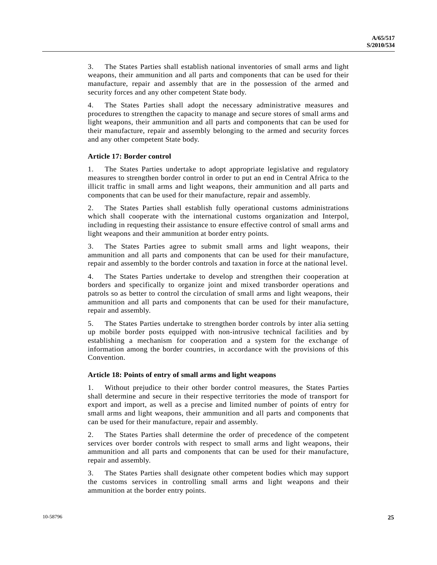3. The States Parties shall establish national inventories of small arms and light weapons, their ammunition and all parts and components that can be used for their manufacture, repair and assembly that are in the possession of the armed and security forces and any other competent State body.

4. The States Parties shall adopt the necessary administrative measures and procedures to strengthen the capacity to manage and secure stores of small arms and light weapons, their ammunition and all parts and components that can be used for their manufacture, repair and assembly belonging to the armed and security forces and any other competent State body.

## **Article 17: Border control**

1. The States Parties undertake to adopt appropriate legislative and regulatory measures to strengthen border control in order to put an end in Central Africa to the illicit traffic in small arms and light weapons, their ammunition and all parts and components that can be used for their manufacture, repair and assembly.

2. The States Parties shall establish fully operational customs administrations which shall cooperate with the international customs organization and Interpol, including in requesting their assistance to ensure effective control of small arms and light weapons and their ammunition at border entry points.

3. The States Parties agree to submit small arms and light weapons, their ammunition and all parts and components that can be used for their manufacture, repair and assembly to the border controls and taxation in force at the national level.

4. The States Parties undertake to develop and strengthen their cooperation at borders and specifically to organize joint and mixed transborder operations and patrols so as better to control the circulation of small arms and light weapons, their ammunition and all parts and components that can be used for their manufacture, repair and assembly.

5. The States Parties undertake to strengthen border controls by inter alia setting up mobile border posts equipped with non-intrusive technical facilities and by establishing a mechanism for cooperation and a system for the exchange of information among the border countries, in accordance with the provisions of this Convention.

## **Article 18: Points of entry of small arms and light weapons**

1. Without prejudice to their other border control measures, the States Parties shall determine and secure in their respective territories the mode of transport for export and import, as well as a precise and limited number of points of entry for small arms and light weapons, their ammunition and all parts and components that can be used for their manufacture, repair and assembly.

2. The States Parties shall determine the order of precedence of the competent services over border controls with respect to small arms and light weapons, their ammunition and all parts and components that can be used for their manufacture, repair and assembly.

3. The States Parties shall designate other competent bodies which may support the customs services in controlling small arms and light weapons and their ammunition at the border entry points.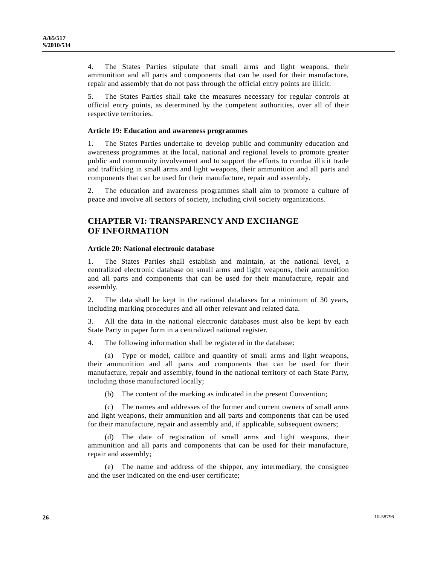4. The States Parties stipulate that small arms and light weapons, their ammunition and all parts and components that can be used for their manufacture, repair and assembly that do not pass through the official entry points are illicit.

5. The States Parties shall take the measures necessary for regular controls at official entry points, as determined by the competent authorities, over all of their respective territories.

#### **Article 19: Education and awareness programmes**

1. The States Parties undertake to develop public and community education and awareness programmes at the local, national and regional levels to promote greater public and community involvement and to support the efforts to combat illicit trade and trafficking in small arms and light weapons, their ammunition and all parts and components that can be used for their manufacture, repair and assembly.

2. The education and awareness programmes shall aim to promote a culture of peace and involve all sectors of society, including civil society organizations.

# **CHAPTER VI: TRANSPARENCY AND EXCHANGE OF INFORMATION**

#### **Article 20: National electronic database**

1. The States Parties shall establish and maintain, at the national level, a centralized electronic database on small arms and light weapons, their ammunition and all parts and components that can be used for their manufacture, repair and assembly.

2. The data shall be kept in the national databases for a minimum of 30 years, including marking procedures and all other relevant and related data.

3. All the data in the national electronic databases must also be kept by each State Party in paper form in a centralized national register.

4. The following information shall be registered in the database:

 (a) Type or model, calibre and quantity of small arms and light weapons, their ammunition and all parts and components that can be used for their manufacture, repair and assembly, found in the national territory of each State Party, including those manufactured locally;

(b) The content of the marking as indicated in the present Convention;

 (c) The names and addresses of the former and current owners of small arms and light weapons, their ammunition and all parts and components that can be used for their manufacture, repair and assembly and, if applicable, subsequent owners;

 (d) The date of registration of small arms and light weapons, their ammunition and all parts and components that can be used for their manufacture, repair and assembly;

 (e) The name and address of the shipper, any intermediary, the consignee and the user indicated on the end-user certificate;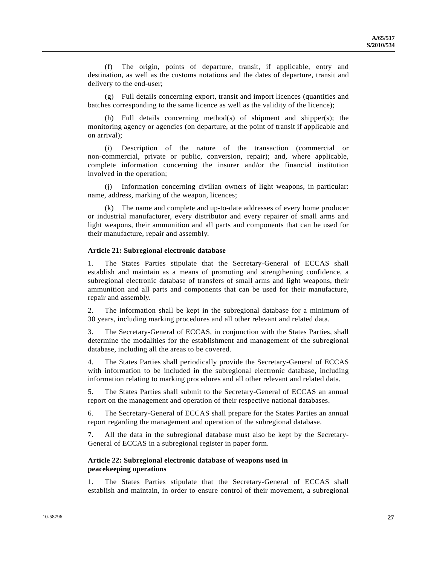(f) The origin, points of departure, transit, if applicable, entry and destination, as well as the customs notations and the dates of departure, transit and delivery to the end-user;

 (g) Full details concerning export, transit and import licences (quantities and batches corresponding to the same licence as well as the validity of the licence);

 (h) Full details concerning method(s) of shipment and shipper(s); the monitoring agency or agencies (on departure, at the point of transit if applicable and on arrival);

 (i) Description of the nature of the transaction (commercial or non-commercial, private or public, conversion, repair); and, where applicable, complete information concerning the insurer and/or the financial institution involved in the operation;

 (j) Information concerning civilian owners of light weapons, in particular: name, address, marking of the weapon, licences;

 (k) The name and complete and up-to-date addresses of every home producer or industrial manufacturer, every distributor and every repairer of small arms and light weapons, their ammunition and all parts and components that can be used for their manufacture, repair and assembly.

#### **Article 21: Subregional electronic database**

1. The States Parties stipulate that the Secretary-General of ECCAS shall establish and maintain as a means of promoting and strengthening confidence, a subregional electronic database of transfers of small arms and light weapons, their ammunition and all parts and components that can be used for their manufacture, repair and assembly.

2. The information shall be kept in the subregional database for a minimum of 30 years, including marking procedures and all other relevant and related data.

3. The Secretary-General of ECCAS, in conjunction with the States Parties, shall determine the modalities for the establishment and management of the subregional database, including all the areas to be covered.

4. The States Parties shall periodically provide the Secretary-General of ECCAS with information to be included in the subregional electronic database, including information relating to marking procedures and all other relevant and related data.

5. The States Parties shall submit to the Secretary-General of ECCAS an annual report on the management and operation of their respective national databases.

6. The Secretary-General of ECCAS shall prepare for the States Parties an annual report regarding the management and operation of the subregional database.

7. All the data in the subregional database must also be kept by the Secretary-General of ECCAS in a subregional register in paper form.

## **Article 22: Subregional electronic database of weapons used in peacekeeping operations**

1. The States Parties stipulate that the Secretary-General of ECCAS shall establish and maintain, in order to ensure control of their movement, a subregional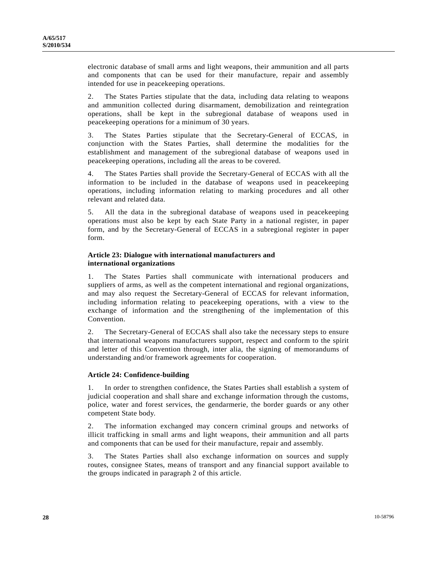electronic database of small arms and light weapons, their ammunition and all parts and components that can be used for their manufacture, repair and assembly intended for use in peacekeeping operations.

2. The States Parties stipulate that the data, including data relating to weapons and ammunition collected during disarmament, demobilization and reintegration operations, shall be kept in the subregional database of weapons used in peacekeeping operations for a minimum of 30 years.

3. The States Parties stipulate that the Secretary-General of ECCAS, in conjunction with the States Parties, shall determine the modalities for the establishment and management of the subregional database of weapons used in peacekeeping operations, including all the areas to be covered.

4. The States Parties shall provide the Secretary-General of ECCAS with all the information to be included in the database of weapons used in peacekeeping operations, including information relating to marking procedures and all other relevant and related data.

5. All the data in the subregional database of weapons used in peacekeeping operations must also be kept by each State Party in a national register, in paper form, and by the Secretary-General of ECCAS in a subregional register in paper form.

## **Article 23: Dialogue with international manufacturers and international organizations**

1. The States Parties shall communicate with international producers and suppliers of arms, as well as the competent international and regional organizations, and may also request the Secretary-General of ECCAS for relevant information, including information relating to peacekeeping operations, with a view to the exchange of information and the strengthening of the implementation of this Convention.

2. The Secretary-General of ECCAS shall also take the necessary steps to ensure that international weapons manufacturers support, respect and conform to the spirit and letter of this Convention through, inter alia, the signing of memorandums of understanding and/or framework agreements for cooperation.

## **Article 24: Confidence-building**

1. In order to strengthen confidence, the States Parties shall establish a system of judicial cooperation and shall share and exchange information through the customs, police, water and forest services, the gendarmerie, the border guards or any other competent State body.

2. The information exchanged may concern criminal groups and networks of illicit trafficking in small arms and light weapons, their ammunition and all parts and components that can be used for their manufacture, repair and assembly.

3. The States Parties shall also exchange information on sources and supply routes, consignee States, means of transport and any financial support available to the groups indicated in paragraph 2 of this article.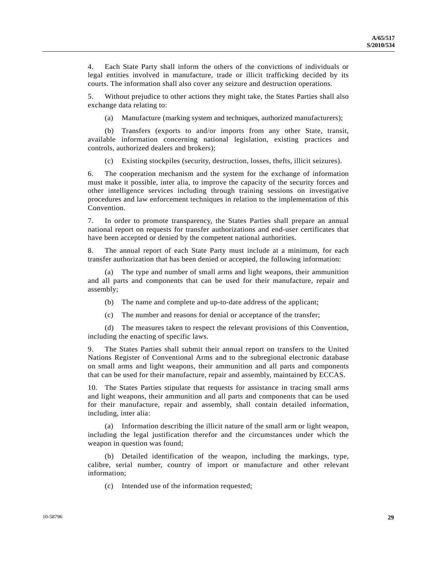4. Each State Party shall inform the others of the convictions of individuals or legal entities involved in manufacture, trade or illicit trafficking decided by its courts. The information shall also cover any seizure and destruction operations.

5. Without prejudice to other actions they might take, the States Parties shall also exchange data relating to:

(a) Manufacture (marking system and techniques, authorized manufacturers);

 (b) Transfers (exports to and/or imports from any other State, transit, available information concerning national legislation, existing practices and controls, authorized dealers and brokers);

(c) Existing stockpiles (security, destruction, losses, thefts, illicit seizures).

6. The cooperation mechanism and the system for the exchange of information must make it possible, inter alia, to improve the capacity of the security forces and other intelligence services including through training sessions on investigative procedures and law enforcement techniques in relation to the implementation of this Convention.

7. In order to promote transparency, the States Parties shall prepare an annual national report on requests for transfer authorizations and end-user certificates that have been accepted or denied by the competent national authorities.

8. The annual report of each State Party must include at a minimum, for each transfer authorization that has been denied or accepted, the following information:

 (a) The type and number of small arms and light weapons, their ammunition and all parts and components that can be used for their manufacture, repair and assembly;

(b) The name and complete and up-to-date address of the applicant;

(c) The number and reasons for denial or acceptance of the transfer;

 (d) The measures taken to respect the relevant provisions of this Convention, including the enacting of specific laws.

9. The States Parties shall submit their annual report on transfers to the United Nations Register of Conventional Arms and to the subregional electronic database on small arms and light weapons, their ammunition and all parts and components that can be used for their manufacture, repair and assembly, maintained by ECCAS.

10. The States Parties stipulate that requests for assistance in tracing small arms and light weapons, their ammunition and all parts and components that can be used for their manufacture, repair and assembly, shall contain detailed information, including, inter alia:

 (a) Information describing the illicit nature of the small arm or light weapon, including the legal justification therefor and the circumstances under which the weapon in question was found;

 (b) Detailed identification of the weapon, including the markings, type, calibre, serial number, country of import or manufacture and other relevant information;

(c) Intended use of the information requested;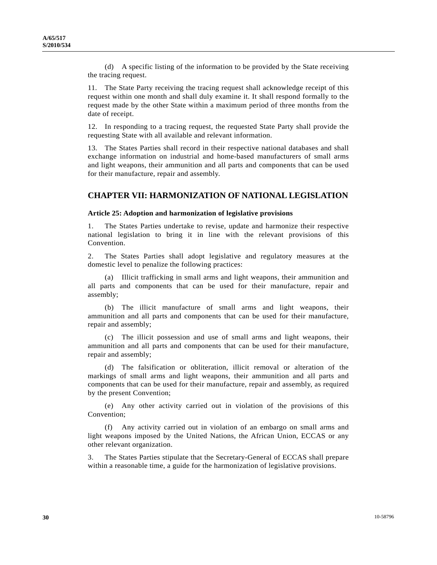(d) A specific listing of the information to be provided by the State receiving the tracing request.

11. The State Party receiving the tracing request shall acknowledge receipt of this request within one month and shall duly examine it. It shall respond formally to the request made by the other State within a maximum period of three months from the date of receipt.

12. In responding to a tracing request, the requested State Party shall provide the requesting State with all available and relevant information.

13. The States Parties shall record in their respective national databases and shall exchange information on industrial and home-based manufacturers of small arms and light weapons, their ammunition and all parts and components that can be used for their manufacture, repair and assembly.

## **CHAPTER VII: HARMONIZATION OF NATIONAL LEGISLATION**

#### **Article 25: Adoption and harmonization of legislative provisions**

1. The States Parties undertake to revise, update and harmonize their respective national legislation to bring it in line with the relevant provisions of this Convention.

2. The States Parties shall adopt legislative and regulatory measures at the domestic level to penalize the following practices:

 (a) Illicit trafficking in small arms and light weapons, their ammunition and all parts and components that can be used for their manufacture, repair and assembly;

 (b) The illicit manufacture of small arms and light weapons, their ammunition and all parts and components that can be used for their manufacture, repair and assembly;

 (c) The illicit possession and use of small arms and light weapons, their ammunition and all parts and components that can be used for their manufacture, repair and assembly;

 (d) The falsification or obliteration, illicit removal or alteration of the markings of small arms and light weapons, their ammunition and all parts and components that can be used for their manufacture, repair and assembly, as required by the present Convention;

 (e) Any other activity carried out in violation of the provisions of this Convention;

 (f) Any activity carried out in violation of an embargo on small arms and light weapons imposed by the United Nations, the African Union, ECCAS or any other relevant organization.

3. The States Parties stipulate that the Secretary-General of ECCAS shall prepare within a reasonable time, a guide for the harmonization of legislative provisions.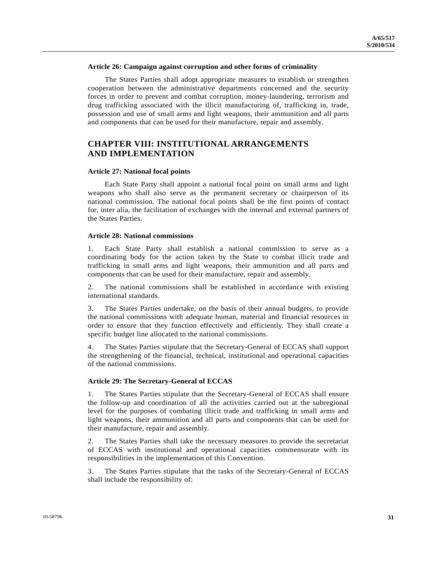#### **Article 26: Campaign against corruption and other forms of criminality**

 The States Parties shall adopt appropriate measures to establish or strengthen cooperation between the administrative departments concerned and the security forces in order to prevent and combat corruption, money-laundering, terrorism and drug trafficking associated with the illicit manufacturing of, trafficking in, trade, possession and use of small arms and light weapons, their ammunition and all parts and components that can be used for their manufacture, repair and assembly.

# **CHAPTER VIII: INSTITUTIONAL ARRANGEMENTS AND IMPLEMENTATION**

#### **Article 27: National focal points**

 Each State Party shall appoint a national focal point on small arms and light weapons who shall also serve as the permanent secretary or chairperson of its national commission. The national focal points shall be the first points of contact for, inter alia, the facilitation of exchanges with the internal and external partners of the States Parties.

## **Article 28: National commissions**

1. Each State Party shall establish a national commission to serve as a coordinating body for the action taken by the State to combat illicit trade and trafficking in small arms and light weapons, their ammunition and all parts and components that can be used for their manufacture, repair and assembly.

2. The national commissions shall be established in accordance with existing international standards.

3. The States Parties undertake, on the basis of their annual budgets, to provide the national commissions with adequate human, material and financial resources in order to ensure that they function effectively and efficiently. They shall create a specific budget line allocated to the national commissions.

4. The States Parties stipulate that the Secretary-General of ECCAS shall support the strengthening of the financial, technical, institutional and operational capacities of the national commissions.

## **Article 29: The Secretary-General of ECCAS**

1. The States Parties stipulate that the Secretary-General of ECCAS shall ensure the follow-up and coordination of all the activities carried out at the subregional level for the purposes of combating illicit trade and trafficking in small arms and light weapons, their ammunition and all parts and components that can be used for their manufacture, repair and assembly.

2. The States Parties shall take the necessary measures to provide the secretariat of ECCAS with institutional and operational capacities commensurate with its responsibilities in the implementation of this Convention.

3. The States Parties stipulate that the tasks of the Secretary-General of ECCAS shall include the responsibility of: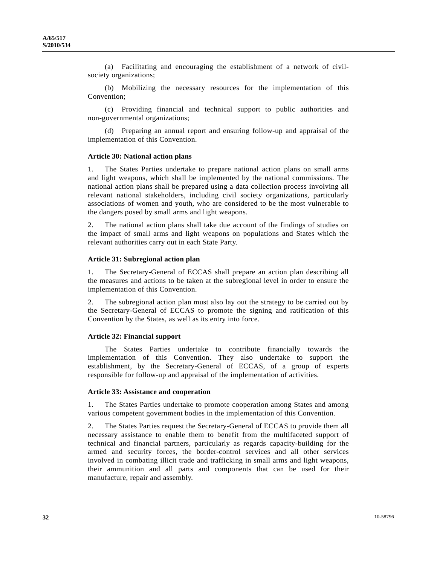(a) Facilitating and encouraging the establishment of a network of civilsociety organizations;

 (b) Mobilizing the necessary resources for the implementation of this Convention;

 (c) Providing financial and technical support to public authorities and non-governmental organizations;

 (d) Preparing an annual report and ensuring follow-up and appraisal of the implementation of this Convention.

#### **Article 30: National action plans**

1. The States Parties undertake to prepare national action plans on small arms and light weapons, which shall be implemented by the national commissions. The national action plans shall be prepared using a data collection process involving all relevant national stakeholders, including civil society organizations, particularly associations of women and youth, who are considered to be the most vulnerable to the dangers posed by small arms and light weapons.

2. The national action plans shall take due account of the findings of studies on the impact of small arms and light weapons on populations and States which the relevant authorities carry out in each State Party.

#### **Article 31: Subregional action plan**

1. The Secretary-General of ECCAS shall prepare an action plan describing all the measures and actions to be taken at the subregional level in order to ensure the implementation of this Convention.

2. The subregional action plan must also lay out the strategy to be carried out by the Secretary-General of ECCAS to promote the signing and ratification of this Convention by the States, as well as its entry into force.

#### **Article 32: Financial support**

 The States Parties undertake to contribute financially towards the implementation of this Convention. They also undertake to support the establishment, by the Secretary-General of ECCAS, of a group of experts responsible for follow-up and appraisal of the implementation of activities.

#### **Article 33: Assistance and cooperation**

1. The States Parties undertake to promote cooperation among States and among various competent government bodies in the implementation of this Convention.

2. The States Parties request the Secretary-General of ECCAS to provide them all necessary assistance to enable them to benefit from the multifaceted support of technical and financial partners, particularly as regards capacity-building for the armed and security forces, the border-control services and all other services involved in combating illicit trade and trafficking in small arms and light weapons, their ammunition and all parts and components that can be used for their manufacture, repair and assembly.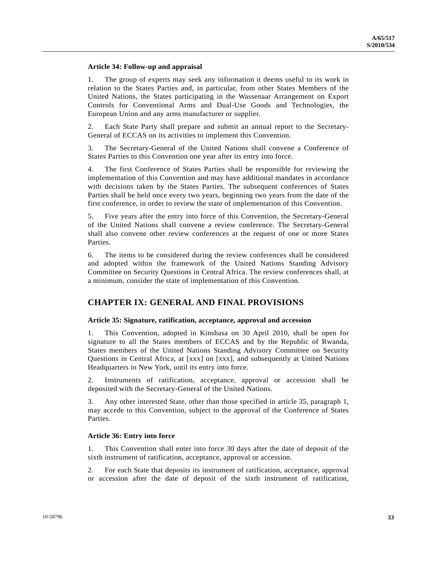## **Article 34: Follow-up and appraisal**

1. The group of experts may seek any information it deems useful to its work in relation to the States Parties and, in particular, from other States Members of the United Nations, the States participating in the Wassenaar Arrangement on Export Controls for Conventional Arms and Dual-Use Goods and Technologies, the European Union and any arms manufacturer or supplier.

2. Each State Party shall prepare and submit an annual report to the Secretary-General of ECCAS on its activities to implement this Convention.

3. The Secretary-General of the United Nations shall convene a Conference of States Parties to this Convention one year after its entry into force.

4. The first Conference of States Parties shall be responsible for reviewing the implementation of this Convention and may have additional mandates in accordance with decisions taken by the States Parties. The subsequent conferences of States Parties shall be held once every two years, beginning two years from the date of the first conference, in order to review the state of implementation of this Convention.

5. Five years after the entry into force of this Convention, the Secretary-General of the United Nations shall convene a review conference. The Secretary-General shall also convene other review conferences at the request of one or more States Parties.

6. The items to be considered during the review conferences shall be considered and adopted within the framework of the United Nations Standing Advisory Committee on Security Questions in Central Africa. The review conferences shall, at a minimum, consider the state of implementation of this Convention.

# **CHAPTER IX: GENERAL AND FINAL PROVISIONS**

## **Article 35: Signature, ratification, acceptance, approval and accession**

1. This Convention, adopted in Kinshasa on 30 April 2010, shall be open for signature to all the States members of ECCAS and by the Republic of Rwanda, States members of the United Nations Standing Advisory Committee on Security Questions in Central Africa, at [xxx] on [xxx], and subsequently at United Nations Headquarters in New York, until its entry into force.

2. Instruments of ratification, acceptance, approval or accession shall be deposited with the Secretary-General of the United Nations.

3. Any other interested State, other than those specified in article 35, paragraph 1, may accede to this Convention, subject to the approval of the Conference of States Parties.

## **Article 36: Entry into force**

1. This Convention shall enter into force 30 days after the date of deposit of the sixth instrument of ratification, acceptance, approval or accession.

2. For each State that deposits its instrument of ratification, acceptance, approval or accession after the date of deposit of the sixth instrument of ratification,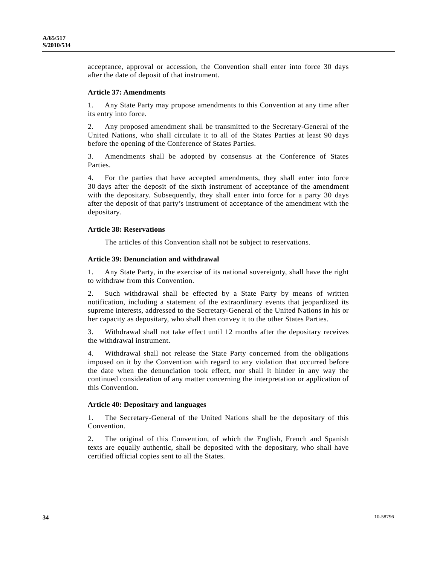acceptance, approval or accession, the Convention shall enter into force 30 days after the date of deposit of that instrument.

#### **Article 37: Amendments**

1. Any State Party may propose amendments to this Convention at any time after its entry into force.

2. Any proposed amendment shall be transmitted to the Secretary-General of the United Nations, who shall circulate it to all of the States Parties at least 90 days before the opening of the Conference of States Parties.

3. Amendments shall be adopted by consensus at the Conference of States Parties.

4. For the parties that have accepted amendments, they shall enter into force 30 days after the deposit of the sixth instrument of acceptance of the amendment with the depositary. Subsequently, they shall enter into force for a party 30 days after the deposit of that party's instrument of acceptance of the amendment with the depositary.

#### **Article 38: Reservations**

The articles of this Convention shall not be subject to reservations.

#### **Article 39: Denunciation and withdrawal**

1. Any State Party, in the exercise of its national sovereignty, shall have the right to withdraw from this Convention.

2. Such withdrawal shall be effected by a State Party by means of written notification, including a statement of the extraordinary events that jeopardized its supreme interests, addressed to the Secretary-General of the United Nations in his or her capacity as depositary, who shall then convey it to the other States Parties.

3. Withdrawal shall not take effect until 12 months after the depositary receives the withdrawal instrument.

4. Withdrawal shall not release the State Party concerned from the obligations imposed on it by the Convention with regard to any violation that occurred before the date when the denunciation took effect, nor shall it hinder in any way the continued consideration of any matter concerning the interpretation or application of this Convention.

#### **Article 40: Depositary and languages**

1. The Secretary-General of the United Nations shall be the depositary of this Convention.

2. The original of this Convention, of which the English, French and Spanish texts are equally authentic, shall be deposited with the depositary, who shall have certified official copies sent to all the States.